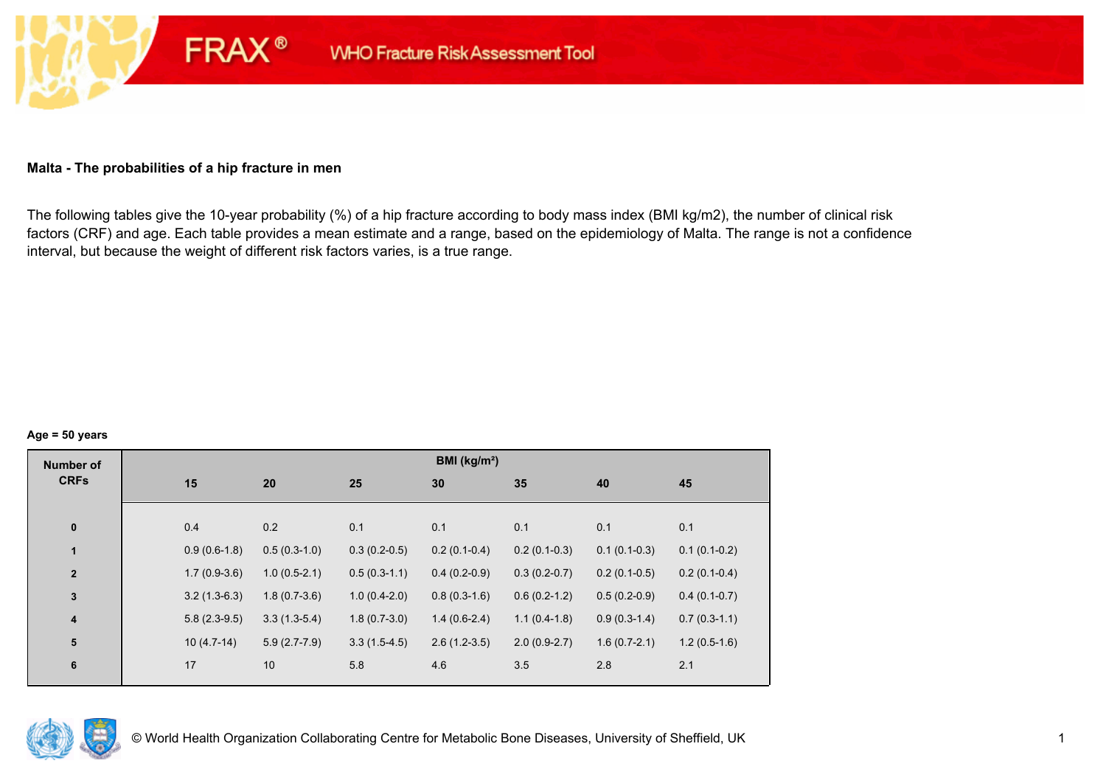### **Malta - The probabilities of a hip fracture in men**

**FRAX®** 

The following tables give the 10-year probability (%) of a hip fracture according to body mass index (BMI kg/m2), the number of clinical risk factors (CRF) and age. Each table provides a mean estimate and a range, based on the epidemiology of Malta. The range is not a confidence interval, but because the weight of different risk factors varies, is a true range.

#### **Age = 50 years**

| <b>Number of</b> |     |                |                |                | BMI ( $kg/m2$ ) |                |                |                |
|------------------|-----|----------------|----------------|----------------|-----------------|----------------|----------------|----------------|
| <b>CRFs</b>      | 15  |                | 20             | 25             | 30              | 35             | 40             | 45             |
|                  |     |                |                |                |                 |                |                |                |
| $\pmb{0}$        | 0.4 |                | 0.2            | 0.1            | 0.1             | 0.1            | 0.1            | 0.1            |
| $\mathbf{1}$     |     | $0.9(0.6-1.8)$ | $0.5(0.3-1.0)$ | $0.3(0.2-0.5)$ | $0.2(0.1-0.4)$  | $0.2(0.1-0.3)$ | $0.1(0.1-0.3)$ | $0.1(0.1-0.2)$ |
| $\mathbf{2}$     |     | $1.7(0.9-3.6)$ | $1.0(0.5-2.1)$ | $0.5(0.3-1.1)$ | $0.4(0.2-0.9)$  | $0.3(0.2-0.7)$ | $0.2(0.1-0.5)$ | $0.2(0.1-0.4)$ |
| $\mathbf{3}$     |     | $3.2(1.3-6.3)$ | $1.8(0.7-3.6)$ | $1.0(0.4-2.0)$ | $0.8(0.3-1.6)$  | $0.6(0.2-1.2)$ | $0.5(0.2-0.9)$ | $0.4(0.1-0.7)$ |
| $\boldsymbol{4}$ |     | $5.8(2.3-9.5)$ | $3.3(1.3-5.4)$ | $1.8(0.7-3.0)$ | $1.4(0.6-2.4)$  | $1.1(0.4-1.8)$ | $0.9(0.3-1.4)$ | $0.7(0.3-1.1)$ |
| 5                |     | $10(4.7-14)$   | $5.9(2.7-7.9)$ | $3.3(1.5-4.5)$ | $2.6(1.2-3.5)$  | $2.0(0.9-2.7)$ | $1.6(0.7-2.1)$ | $1.2(0.5-1.6)$ |
| $6\phantom{1}6$  | 17  |                | 10             | 5.8            | 4.6             | 3.5            | 2.8            | 2.1            |
|                  |     |                |                |                |                 |                |                |                |

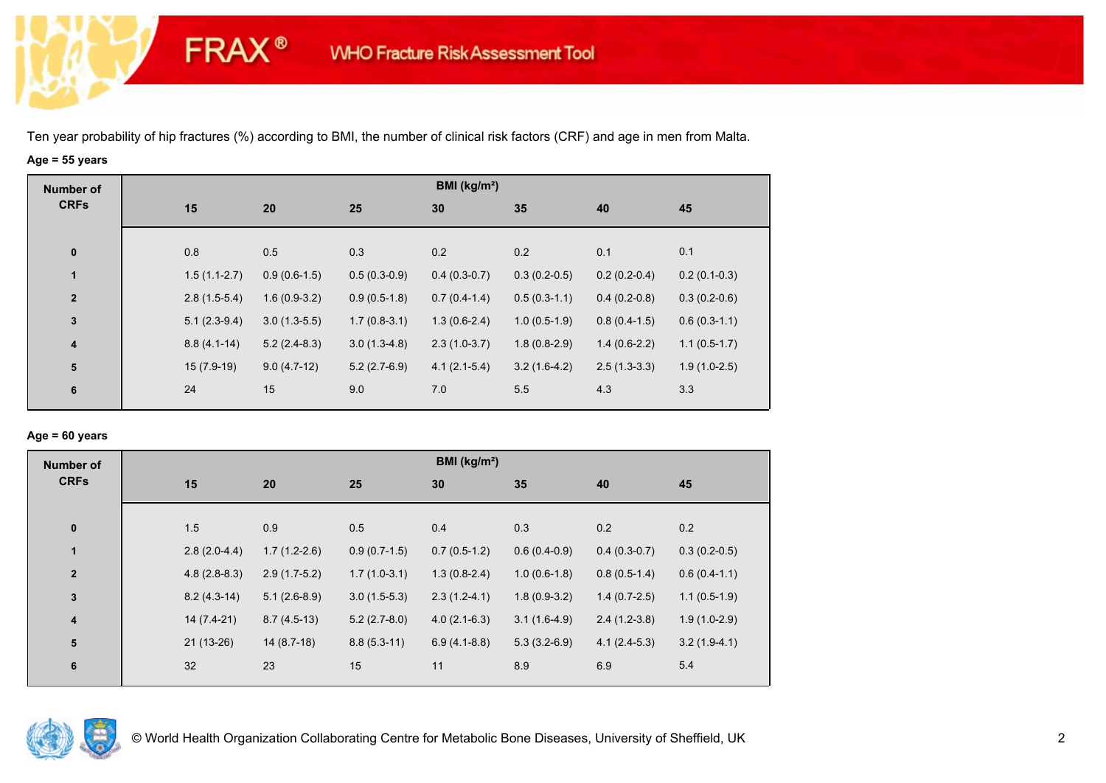**FRAX®** 

# **Age = 55 years**

| <b>Number of</b>        |                |                |                | BMI ( $kg/m2$ ) |                |                |                |
|-------------------------|----------------|----------------|----------------|-----------------|----------------|----------------|----------------|
| <b>CRFs</b>             | 15             | 20             | 25             | 30              | 35             | 40             | 45             |
|                         |                |                |                |                 |                |                |                |
| $\bf{0}$                | 0.8            | 0.5            | 0.3            | 0.2             | 0.2            | 0.1            | 0.1            |
| 1                       | $1.5(1.1-2.7)$ | $0.9(0.6-1.5)$ | $0.5(0.3-0.9)$ | $0.4(0.3-0.7)$  | $0.3(0.2-0.5)$ | $0.2(0.2-0.4)$ | $0.2(0.1-0.3)$ |
| $\mathbf{2}$            | $2.8(1.5-5.4)$ | $1.6(0.9-3.2)$ | $0.9(0.5-1.8)$ | $0.7(0.4-1.4)$  | $0.5(0.3-1.1)$ | $0.4(0.2-0.8)$ | $0.3(0.2-0.6)$ |
| $\mathbf{3}$            | $5.1(2.3-9.4)$ | $3.0(1.3-5.5)$ | $1.7(0.8-3.1)$ | $1.3(0.6-2.4)$  | $1.0(0.5-1.9)$ | $0.8(0.4-1.5)$ | $0.6(0.3-1.1)$ |
| $\overline{\mathbf{4}}$ | $8.8(4.1-14)$  | $5.2(2.4-8.3)$ | $3.0(1.3-4.8)$ | $2.3(1.0-3.7)$  | $1.8(0.8-2.9)$ | $1.4(0.6-2.2)$ | $1.1(0.5-1.7)$ |
| ${\bf 5}$               | $15(7.9-19)$   | $9.0(4.7-12)$  | $5.2(2.7-6.9)$ | $4.1(2.1-5.4)$  | $3.2(1.6-4.2)$ | $2.5(1.3-3.3)$ | $1.9(1.0-2.5)$ |
| 6                       | 24             | 15             | 9.0            | 7.0             | 5.5            | 4.3            | 3.3            |

### **Age = 60 years**

| <b>Number of</b> |                |                |                | BMI ( $kg/m2$ ) |                |                |                |
|------------------|----------------|----------------|----------------|-----------------|----------------|----------------|----------------|
| <b>CRFs</b>      | 15             | 20             | 25             | 30              | 35             | 40             | 45             |
| $\pmb{0}$        | 1.5            | 0.9            | 0.5            | 0.4             | 0.3            | 0.2            | 0.2            |
| $\mathbf{1}$     | $2.8(2.0-4.4)$ | $1.7(1.2-2.6)$ | $0.9(0.7-1.5)$ | $0.7(0.5-1.2)$  | $0.6(0.4-0.9)$ | $0.4(0.3-0.7)$ | $0.3(0.2-0.5)$ |
| $\mathbf{2}$     | $4.8(2.8-8.3)$ | $2.9(1.7-5.2)$ | $1.7(1.0-3.1)$ | $1.3(0.8-2.4)$  | $1.0(0.6-1.8)$ | $0.8(0.5-1.4)$ | $0.6(0.4-1.1)$ |
| 3                | $8.2(4.3-14)$  | $5.1(2.6-8.9)$ | $3.0(1.5-5.3)$ | $2.3(1.2-4.1)$  | $1.8(0.9-3.2)$ | $1.4(0.7-2.5)$ | $1.1(0.5-1.9)$ |
| 4                | $14(7.4-21)$   | $8.7(4.5-13)$  | $5.2(2.7-8.0)$ | $4.0(2.1-6.3)$  | $3.1(1.6-4.9)$ | $2.4(1.2-3.8)$ | $1.9(1.0-2.9)$ |
| 5                | $21(13-26)$    | $14(8.7-18)$   | $8.8(5.3-11)$  | $6.9(4.1-8.8)$  | $5.3(3.2-6.9)$ | $4.1(2.4-5.3)$ | $3.2(1.9-4.1)$ |
| 6                | 32             | 23             | 15             | 11              | 8.9            | 6.9            | 5.4            |

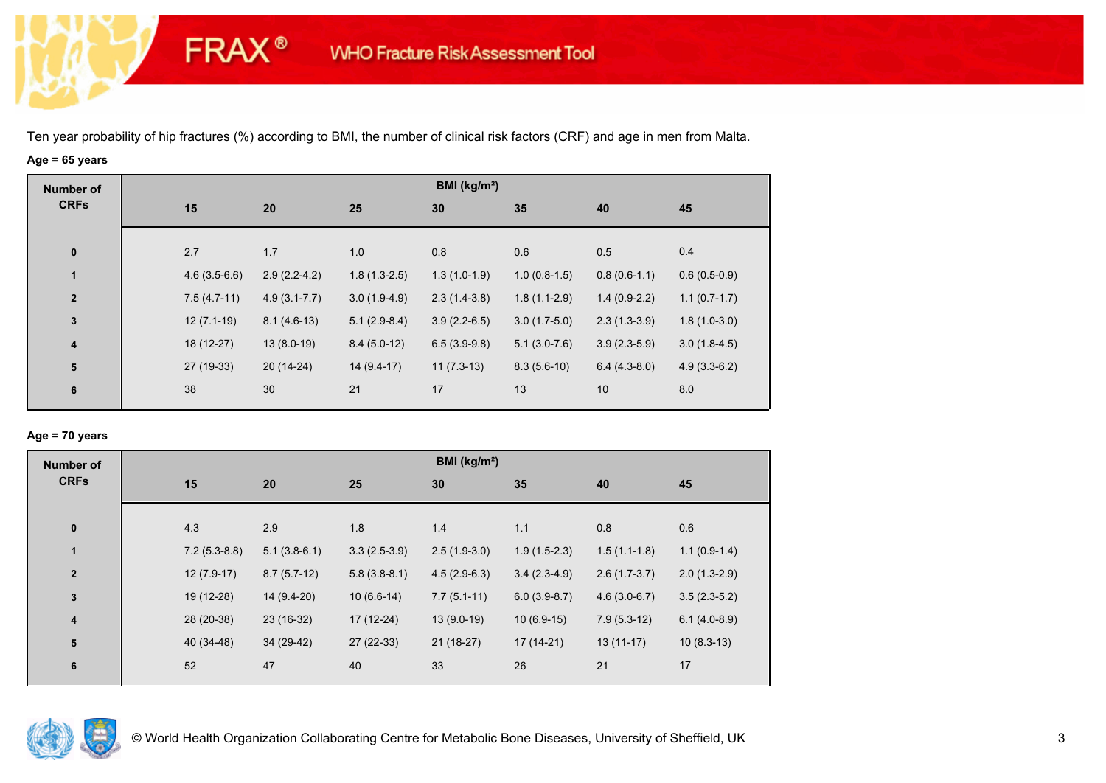**FRAX®** 

# **Age = 65 years**

| <b>Number of</b> |                |                  |                | BMI ( $kg/m2$ ) |                |                |                |
|------------------|----------------|------------------|----------------|-----------------|----------------|----------------|----------------|
| <b>CRFs</b>      | 15             | 20               | 25             | 30              | 35             | 40             | 45             |
|                  |                |                  |                |                 |                |                |                |
| $\pmb{0}$        | 2.7            | 1.7              | 1.0            | 0.8             | 0.6            | 0.5            | 0.4            |
| $\mathbf{1}$     | $4.6(3.5-6.6)$ | $2.9(2.2-4.2)$   | $1.8(1.3-2.5)$ | $1.3(1.0-1.9)$  | $1.0(0.8-1.5)$ | $0.8(0.6-1.1)$ | $0.6(0.5-0.9)$ |
| $\mathbf{2}$     | $7.5(4.7-11)$  | $4.9(3.1 - 7.7)$ | $3.0(1.9-4.9)$ | $2.3(1.4-3.8)$  | $1.8(1.1-2.9)$ | $1.4(0.9-2.2)$ | $1.1(0.7-1.7)$ |
| 3                | $12(7.1-19)$   | $8.1(4.6-13)$    | $5.1(2.9-8.4)$ | $3.9(2.2-6.5)$  | $3.0(1.7-5.0)$ | $2.3(1.3-3.9)$ | $1.8(1.0-3.0)$ |
| $\boldsymbol{4}$ | 18 (12-27)     | $13(8.0-19)$     | $8.4(5.0-12)$  | $6.5(3.9-9.8)$  | $5.1(3.0-7.6)$ | $3.9(2.3-5.9)$ | $3.0(1.8-4.5)$ |
| ${\bf 5}$        | 27 (19-33)     | $20(14-24)$      | $14(9.4-17)$   | $11(7.3-13)$    | $8.3(5.6-10)$  | $6.4(4.3-8.0)$ | $4.9(3.3-6.2)$ |
| 6                | 38             | 30               | 21             | 17              | 13             | 10             | 8.0            |

### **Age = 70 years**

| <b>Number of</b><br><b>CRFs</b> |                |                |                | BMI (kg/m <sup>2</sup> ) |                |                |                |
|---------------------------------|----------------|----------------|----------------|--------------------------|----------------|----------------|----------------|
|                                 | 15             | 20             | 25             | 30                       | 35             | 40             | 45             |
| $\pmb{0}$                       | 4.3            | 2.9            | 1.8            | 1.4                      | 1.1            | 0.8            | 0.6            |
| $\mathbf{1}$                    | $7.2(5.3-8.8)$ | $5.1(3.8-6.1)$ | $3.3(2.5-3.9)$ | $2.5(1.9-3.0)$           | $1.9(1.5-2.3)$ | $1.5(1.1-1.8)$ | $1.1(0.9-1.4)$ |
| $\overline{2}$                  | $12(7.9-17)$   | $8.7(5.7-12)$  | $5.8(3.8-8.1)$ | $4.5(2.9-6.3)$           | $3.4(2.3-4.9)$ | $2.6(1.7-3.7)$ | $2.0(1.3-2.9)$ |
| $\mathbf 3$                     | 19 (12-28)     | 14 (9.4-20)    | $10(6.6-14)$   | $7.7(5.1-11)$            | $6.0(3.9-8.7)$ | $4.6(3.0-6.7)$ | $3.5(2.3-5.2)$ |
| $\overline{\mathbf{4}}$         | 28 (20-38)     | 23 (16-32)     | 17 (12-24)     | $13(9.0-19)$             | $10(6.9-15)$   | $7.9(5.3-12)$  | $6.1(4.0-8.9)$ |
| ${\bf 5}$                       | 40 (34-48)     | 34 (29-42)     | 27 (22-33)     | $21(18-27)$              | $17(14-21)$    | $13(11-17)$    | $10(8.3-13)$   |
| 6                               | 52             | 47             | 40             | 33                       | 26             | 21             | 17             |

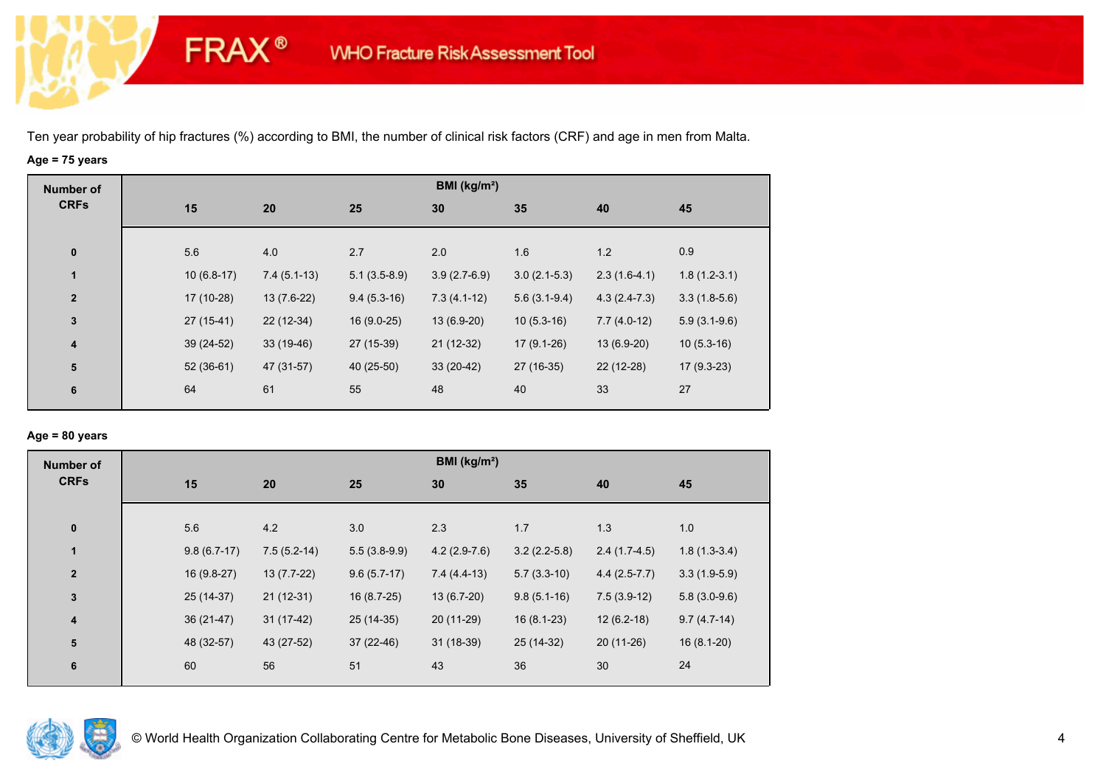**FRAX®** 

# **Age = 75 years**

| <b>Number of</b> |              |               |                | BMI ( $kg/m2$ ) |                |                |                |
|------------------|--------------|---------------|----------------|-----------------|----------------|----------------|----------------|
| <b>CRFs</b>      | 15           | 20            | 25             | 30              | 35             | 40             | 45             |
|                  |              |               |                |                 |                |                |                |
| $\bf{0}$         | 5.6          | 4.0           | 2.7            | 2.0             | 1.6            | 1.2            | 0.9            |
| 1                | $10(6.8-17)$ | $7.4(5.1-13)$ | $5.1(3.5-8.9)$ | $3.9(2.7-6.9)$  | $3.0(2.1-5.3)$ | $2.3(1.6-4.1)$ | $1.8(1.2-3.1)$ |
| $\mathbf{2}$     | 17 (10-28)   | $13(7.6-22)$  | $9.4(5.3-16)$  | $7.3(4.1-12)$   | $5.6(3.1-9.4)$ | $4.3(2.4-7.3)$ | $3.3(1.8-5.6)$ |
| $\mathbf 3$      | $27(15-41)$  | $22(12-34)$   | $16(9.0-25)$   | 13 (6.9-20)     | $10(5.3-16)$   | $7.7(4.0-12)$  | $5.9(3.1-9.6)$ |
| 4                | 39 (24-52)   | $33(19-46)$   | 27 (15-39)     | 21 (12-32)      | $17(9.1-26)$   | 13 (6.9-20)    | $10(5.3-16)$   |
| ${\bf 5}$        | $52(36-61)$  | 47 (31-57)    | 40 (25-50)     | $33(20-42)$     | 27 (16-35)     | 22 (12-28)     | $17(9.3-23)$   |
| 6                | 64           | 61            | 55             | 48              | 40             | 33             | 27             |
|                  |              |               |                |                 |                |                |                |

### **Age = 80 years**

| <b>Number of</b>        |               |               |                | BMI (kg/m <sup>2</sup> ) |                |                |                |
|-------------------------|---------------|---------------|----------------|--------------------------|----------------|----------------|----------------|
| <b>CRFs</b>             | 15            | 20            | 25             | 30                       | 35             | 40             | 45             |
|                         |               |               |                |                          |                |                |                |
| $\pmb{0}$               | 5.6           | 4.2           | 3.0            | 2.3                      | 1.7            | 1.3            | 1.0            |
| 1                       | $9.8(6.7-17)$ | $7.5(5.2-14)$ | $5.5(3.8-9.9)$ | $4.2(2.9-7.6)$           | $3.2(2.2-5.8)$ | $2.4(1.7-4.5)$ | $1.8(1.3-3.4)$ |
| $\overline{2}$          | 16 (9.8-27)   | $13(7.7-22)$  | $9.6(5.7-17)$  | $7.4(4.4-13)$            | $5.7(3.3-10)$  | $4.4(2.5-7.7)$ | $3.3(1.9-5.9)$ |
| $\mathbf 3$             | 25 (14-37)    | $21(12-31)$   | $16(8.7-25)$   | 13 (6.7-20)              | $9.8(5.1-16)$  | $7.5(3.9-12)$  | $5.8(3.0-9.6)$ |
| $\overline{\mathbf{4}}$ | $36(21-47)$   | $31(17-42)$   | 25 (14-35)     | 20 (11-29)               | $16(8.1-23)$   | $12(6.2-18)$   | $9.7(4.7-14)$  |
| 5                       | 48 (32-57)    | 43 (27-52)    | $37(22-46)$    | $31(18-39)$              | 25 (14-32)     | $20(11-26)$    | $16(8.1-20)$   |
| $\boldsymbol{6}$        | 60            | 56            | 51             | 43                       | 36             | 30             | 24             |
|                         |               |               |                |                          |                |                |                |